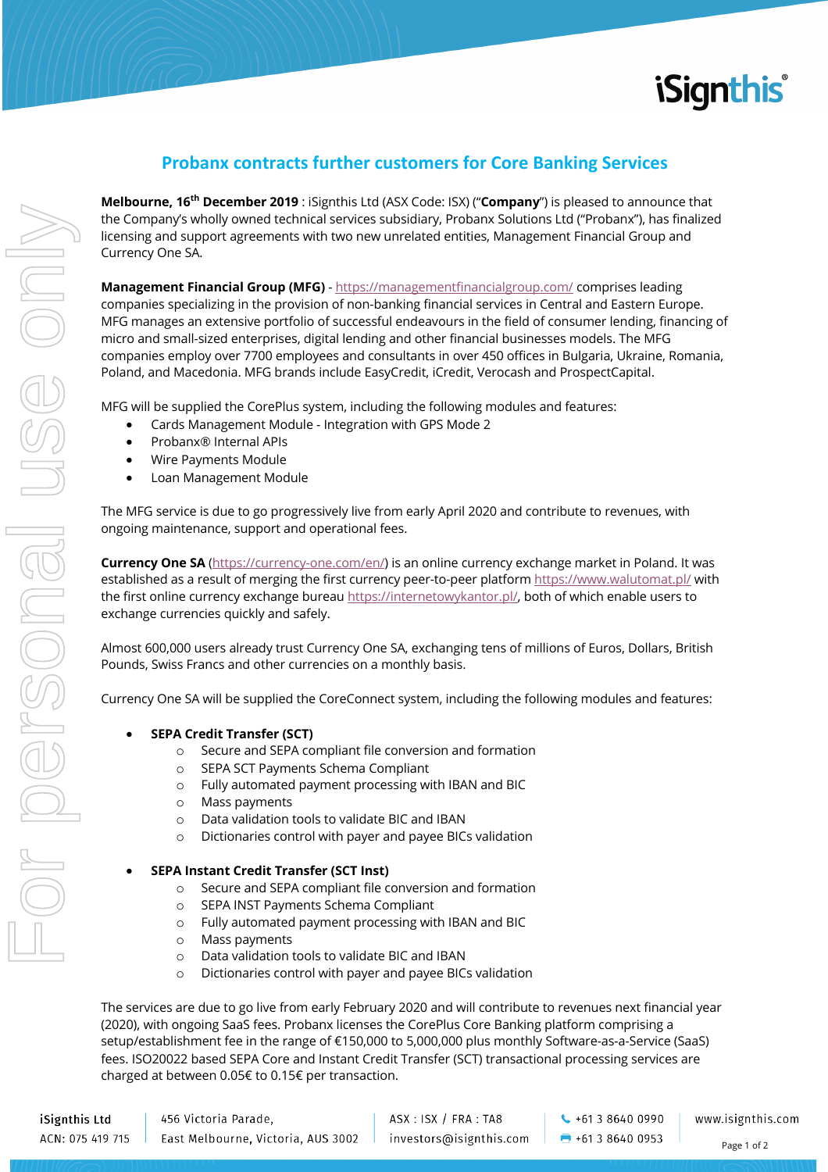

## **Probanx contracts further customers for Core Banking Services**

**Melbourne, 16th December 2019** : iSignthis Ltd (ASX Code: ISX) ("**Company**") is pleased to announce that the Company's wholly owned technical services subsidiary, Probanx Solutions Ltd ("Probanx"), has finalized licensing and support agreements with two new unrelated entities, Management Financial Group and Currency One SA.

**Management Financial Group (MFG)** - https://managementfinancialgroup.com/ comprises leading companies specializing in the provision of non-banking financial services in Central and Eastern Europe. MFG manages an extensive portfolio of successful endeavours in the field of consumer lending, financing of micro and small-sized enterprises, digital lending and other financial businesses models. The MFG companies employ over 7700 employees and consultants in over 450 offices in Bulgaria, Ukraine, Romania, Poland, and Macedonia. MFG brands include EasyCredit, iCredit, Verocash and ProspectCapital.

MFG will be supplied the CorePlus system, including the following modules and features:

- Cards Management Module Integration with GPS Mode 2
- Probanx® Internal APIs
- Wire Payments Module
- Loan Management Module

The MFG service is due to go progressively live from early April 2020 and contribute to revenues, with ongoing maintenance, support and operational fees.

**Currency One SA** (https://currency-one.com/en/) is an online currency exchange market in Poland. It was established as a result of merging the first currency peer-to-peer platform https://www.walutomat.pl/ with the first online currency exchange bureau https://internetowykantor.pl/, both of which enable users to exchange currencies quickly and safely.

Almost 600,000 users already trust Currency One SA, exchanging tens of millions of Euros, Dollars, British Pounds, Swiss Francs and other currencies on a monthly basis.

Currency One SA will be supplied the CoreConnect system, including the following modules and features:

- **SEPA Credit Transfer (SCT)**
	- o Secure and SEPA compliant file conversion and formation
	- o SEPA SCT Payments Schema Compliant
	- o Fully automated payment processing with IBAN and BIC
	- o Mass payments
	- o Data validation tools to validate BIC and IBAN
	- o Dictionaries control with payer and payee BICs validation
- **SEPA Instant Credit Transfer (SCT Inst)**
	- o Secure and SEPA compliant file conversion and formation
	- o SEPA INST Payments Schema Compliant
	- o Fully automated payment processing with IBAN and BIC
	- o Mass payments
	- o Data validation tools to validate BIC and IBAN
	- o Dictionaries control with payer and payee BICs validation

The services are due to go live from early February 2020 and will contribute to revenues next financial year (2020), with ongoing SaaS fees. Probanx licenses the CorePlus Core Banking platform comprising a setup/establishment fee in the range of €150,000 to 5,000,000 plus monthly Software-as-a-Service (SaaS) fees. ISO20022 based SEPA Core and Instant Credit Transfer (SCT) transactional processing services are charged at between 0.05€ to 0.15€ per transaction.

ASX: ISX / FRA: TA8 investors@isignthis.com

 $\leftarrow$  +61 3 8640 0990  $\bigoplus$  +61 3 8640 0953

www.isignthis.com